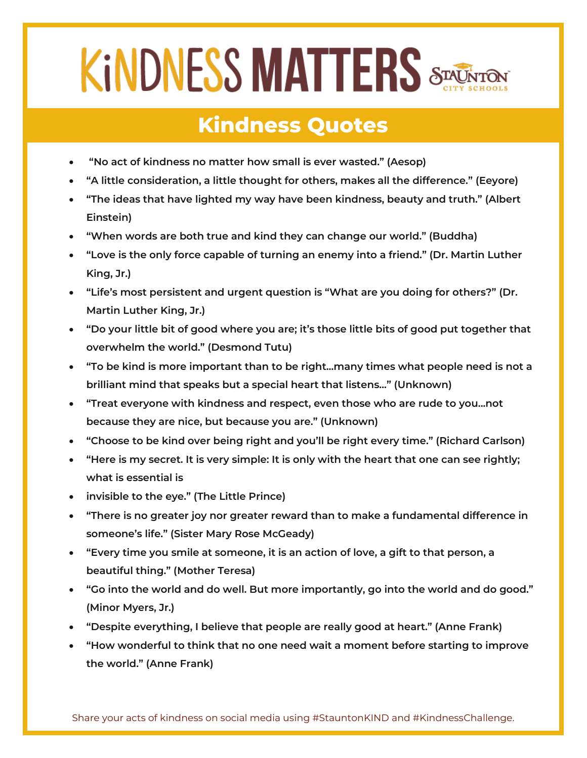## **KINDNESS MATTERS STACKS**

## **Kindness Quotes**

- **"No act of kindness no matter how small is ever wasted." (Aesop)**
- **"A little consideration, a little thought for others, makes all the difference." (Eeyore)**
- **"The ideas that have lighted my way have been kindness, beauty and truth." (Albert Einstein)**
- **"When words are both true and kind they can change our world." (Buddha)**
- **"Love is the only force capable of turning an enemy into a friend." (Dr. Martin Luther King, Jr.)**
- **"Life's most persistent and urgent question is "What are you doing for others?" (Dr. Martin Luther King, Jr.)**
- **"Do your little bit of good where you are; it's those little bits of good put together that overwhelm the world." (Desmond Tutu)**
- **"To be kind is more important than to be right...many times what people need is not a brilliant mind that speaks but a special heart that listens..." (Unknown)**
- **"Treat everyone with kindness and respect, even those who are rude to you...not because they are nice, but because you are." (Unknown)**
- **"Choose to be kind over being right and you'll be right every time." (Richard Carlson)**
- **"Here is my secret. It is very simple: It is only with the heart that one can see rightly; what is essential is**
- **invisible to the eye." (The Little Prince)**
- **"There is no greater joy nor greater reward than to make a fundamental difference in someone's life." (Sister Mary Rose McGeady)**
- **"Every time you smile at someone, it is an action of love, a gift to that person, a beautiful thing." (Mother Teresa)**
- **"Go into the world and do well. But more importantly, go into the world and do good." (Minor Myers, Jr.)**
- **"Despite everything, I believe that people are really good at heart." (Anne Frank)**
- **"How wonderful to think that no one need wait a moment before starting to improve the world." (Anne Frank)**

Share your acts of kindness on social media using #StauntonKIND and #KindnessChallenge.